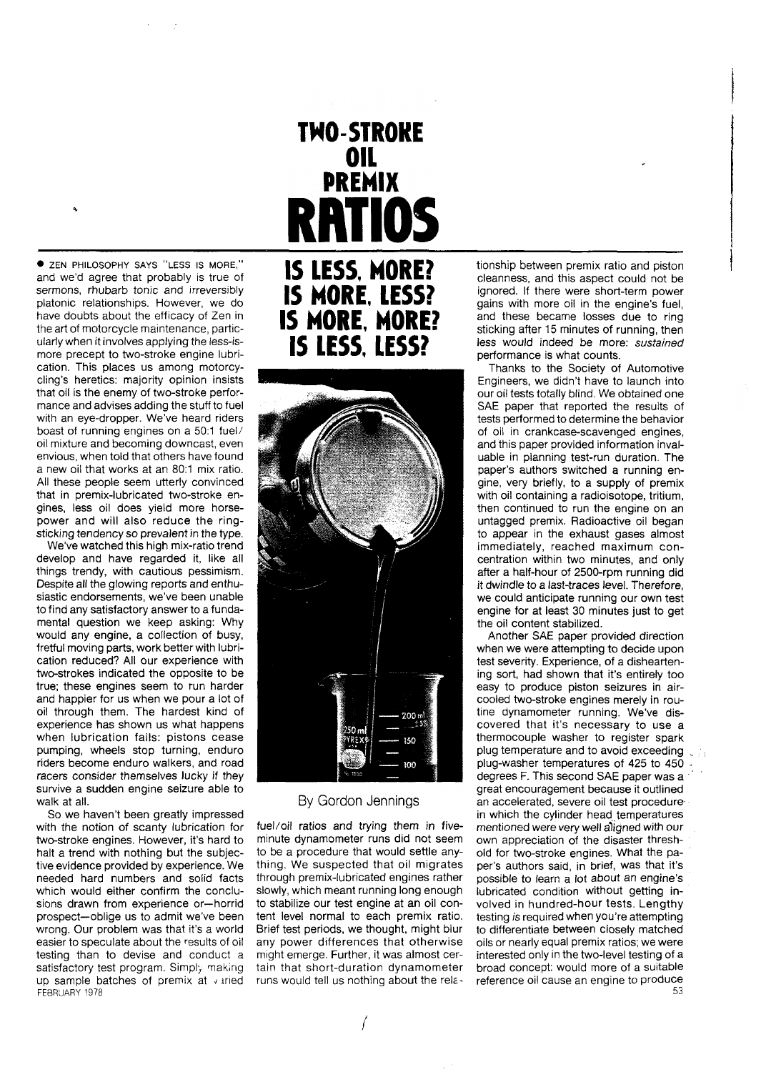ZEN PHILOSOPHY SAYS "LESS IS MORE," and we'd agree that probably is true of sermons, rhubarb tonic and irreversibly platonic relationships. However, we do have doubts about the efficacy of Zen in the art of motorcycle maintenance, particularly when it involves applying the less-ismore precept to two-stroke engine lubrication. This places us among motorcycling's heretics: majority opinion insists that oil is the enemy of two-stroke performance and advises adding the stuff to fuel with an eye-dropper. We've heard riders boast of running engines on a 50:1 fuel/ oil mixture and becoming downcast, even envious, when told that others have found a new oil that works at an 80:l mix ratio. All these people seem utterly convinced that in premix-lubricated two-stroke engines, less oil does yield more horsepower and will also reduce the ringsticking tendency so prevalent in the type.

We've watched this high mix-ratio trend develop and have regarded it, like all things trendy, with cautious pessimism. Despite all the glowing reports and enthusiastic endorsements, we've been unable to find any satisfactory answer to a fundamental question we keep asking: Why would any engine, a collection of busy, fretful moving parts, work better with lubrication reduced? All our experience with two-strokes indicated the opposite to be true; these engines seem to run harder and happier for us when we pour a lot of oil through them. The hardest kind of experience has shown us what happens when lubrication fails: pistons cease pumping, wheels stop turning, enduro riders become enduro walkers, and road racers consider themselves lucky if they survive a sudden engine seizure able to walk at all.

So we haven't been greatly impressed with the notion of scanty lubrication for two-stroke engines. However, it's hard to halt a trend with nothing but the subjective evidence provided by experience. We needed hard numbers and solid facts which would either confirm the conclusions drawn from experience or-horrid prospect-oblige us to admit we've been wrong. Our problem was that it's a world easier to speculate about the results of oil testing than to devise and conduct a satisfactory test program. Simply making up sample batches of premix at  $\sqrt{x}$  iried FEBRUARY 1978

# **TWO-STROKE OIL**<br>**PREMIX ATIOS IS LESS. MORE? IS MORE. LESS? IS MORE. MORE?**

**IS LESS. LESS?** 



## By Gordon Jennings

fuel/oil ratios and trying them in fiveminute dynamometer runs did not seem to be a procedure that would settle anything. We suspected that oil migrates through premix-lubricated engines rather slowly, which meant running long enough to stabilize our test engine at an oil content level normal to each premix ratio. Brief test periods, we thought, might blur any power differences that otherwise might emerge. Further, it was almost certain that short-duration dynamometer runs would tell us nothing about the rektionship between premix ratio and piston cleanness, and this aspect could not be ignored. If there were short-term power gains with more oil in the engine's fuel, and these became losses due to ring sticking after 15 minutes of running, then less would indeed be more: sustained performance is what counts.

Thanks to the Society of Automotive Engineers, we didn't have to launch into our oil tests totally blind. We obtained one SAE paper that reported the results of tests performed to determine the behavior of oil in crankcase-scavenged engines, and this paper provided information invaluable in planning test-run duration. The paper's authors switched a running engine, very briefly, to a supply of premix with oil containing a radioisotope, tritium, then continued to run the engine on an untagged premix. Radioactive oil began to appear in the exhaust gases almost immediately, reached maximum concentration within two minutes, and only after a half-hour of 2500-rpm running did it dwindle to a last-traces level. Therefore, we could anticipate running our own test engine for at least 30 minutes just to get the oil content stabilized.

Another SAE paper provided direction when we were attempting to decide upon test severity. Experience, of a disheartening sort, had shown that it's entirely too easy to produce piston seizures in aircooled two-stroke engines merely in routine dynamometer running. We've discovered that it's necessary to use a thermocouple washer to register spark plug temperature and to avoid exceeding<br>plug-washer temperatures of 425 to 450 degrees F. This second SAE paper was a great encouragement because it outlined an accelerated, severe oil test procedure. in which the cylinder head temperatures mentioned were very well aligned with our own appreciation of the disaster threshold for two-stroke engines. What the paper's authors said, in brief, was that it's possible to learn a lot about an engine's lubricated condition without getting involved in hundred-hour tests. Lengthy testing is required when you're attempting to differentiate between closely matched oils or nearly equal premix ratios; we were interested only in the two-level testing of a broad concept: would more of a suitable reference oil cause an engine to produce 53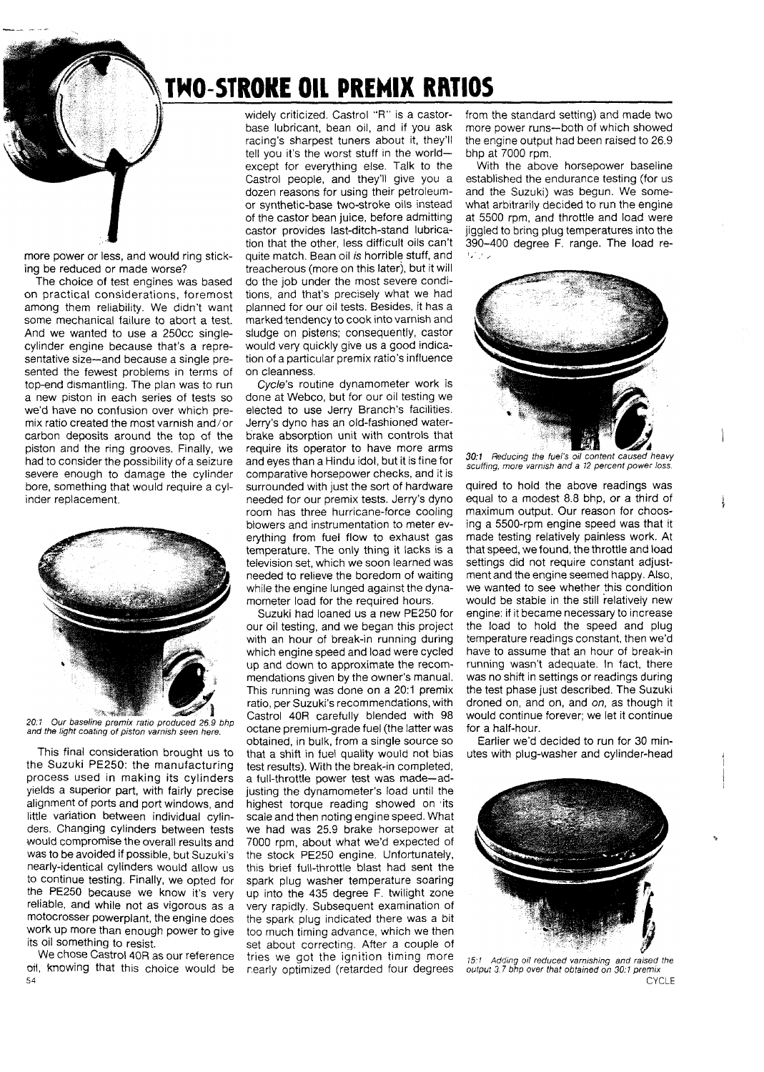## TWO-STROKE OIL PREMIX RRTIOS

more power or less, and would ring sticking be reduced or made worse?

The choice of test engines was based on practical considerations, foremost among them reliability. We didn't want some mechanical failure to abort a test. And we wanted to use a 250cc singlecylinder engine because that's a representative size-and because a single presented the fewest problems in terms of top-end dismantling. The plan was to run a new piston in each series of tests so we'd have no confusion over which premix ratio created the most varnish and/or carbon deposits around the top of the piston and the ring grooves. Finally, we had to consider the possibility of a seizure severe enough to damage the cylinder bore, something that would require a cylinder replacement.



**20:l** Our baseline premix ratio produced 26.9 bhp and the light coating of piston varnish seen here

This final consideration brought us to the Suzuki PE250: the manufacturing process used in making its cylinders yields a superior part, with fairly precise alignment of ports and port windows, and little variation between individual cylinders. Changing cylinders between tests would compromise the overall results and was to be avoided if possible, but Suzuki's nearly-identical cylinders would allow us to continue testing. Finally, we opted for the PE250 because we know it's very reliable, and while not as vigorous as a motocrosser powerplant, the engine does work up more than enough power to give its oil something to resist.

We chose Castrol 40R as our reference oil, knowing that this choice would be 54

widely criticized. Castrol "R" is a castorbase lubricant, bean oil, and if you ask racing's sharpest tuners about it, they'll tell you it's the worst stuff in the worldexcept for everything else. Talk to the Castrol people, and they'll give you a dozen reasons for using their petroleumor synthetic-base two-stroke oils instead of the castor bean juice, before admitting castor provides last-ditch-stand lubrication that the other, less difficult oils can't quite match. Bean oil *is* horrible stuff, and treacherous (more on this later), but it will do the job under the most severe conditions, and that's precisely what we had planned for our oil tests. Besides, it has a marked tendency to cook into varnish and sludge on pistens; consequently, castor would very quickly give us a good indication of a particular premix ratio's influence on cleanness.

Cycle's routine dynamometer work is done at Webco, but for our oil testing we elected to use Jerry Branch's facilities. Jerry's dyno has an old-fashioned waterbrake absorption unit with controls that require its operator to have more arms and eyes than a Hindu idol, but it is fine for comparative horsepower checks, and it is surrounded with just the sort of hardware needed for our premix tests. Jerry's dyno room has three hurricane-force cooling blowers and instrumentation to meter everything from fuel flow to exhaust gas temperature. The only thing it lacks is a television set, which we soon learned was needed to relieve the boredom of waiting while the engine lunged against the dynamometer load for the required hours.

Suzuki had loaned us a new PE250 for our oil testing, and we began this project with an hour of break-in running during which engine speed and load were cycled up and down to approximate the recommendations given by the owner's manual. This running was done on a 20:1 premix ratio, per Suzuki's recommendations, with Castrol 40R carefully blended with 98 octane premium-grade fuel (the latter was obtained, in bulk, from a single source so that a shift in fuel quality would not bias test results). With the break-in completed, a full-throttle power test was made-adjusting the dynamometer's load until the highest torque reading showed on its scale and then noting engine speed. What we had was 25.9 brake horsepower at 7000 rpm, about what Ws'd expected of the stock PE250 engine. Unfortunately, this brief full-throttle blast had sent the spark plug washer temperature soaring up into the 435 degree F. twilight zone very rapidly. Subsequent examination of the spark plug indicated there was a bit too much timing advance, which we then set about correcting. After a couple of tries we got the ignition timing more 15:1 Adding oil reduced variabling and raised the<br>nearly optimized (retarded four degrees output 3.7 bhp over that obtained on 30:1 premix nearly optimized (retarded four degrees

from the standard setting) and made two more power runs--both of which showed the engine output had been raised to 26.9 bhp at 7000 rpm.

With the above horsepower baseline established the endurance testing (for us and the Suzuki) was begun. We somewhat arbitrarily decided to run the engine at 5500 rpm, and throttle and load were jiggled to bring plug temperatures into the  $390-400$  degree F. range. The load re-



30:1 Reducing the fuel's oil content caused heavy scuffing, more varnish and a 12 percent power loss.

quired to hold the above readings was equal to a modest 8.8 bhp, or a third of maximum output. Our reason for choosing a 5500-rpm engine speed was that it made testing relatively painless work. At that speed, we found, the throttle and load settings did not require constant adjustment and the engine seemed happy. Also, we wanted to see whether this condition would be stable in the still relatively new engine: if it became necessary to increase the load to hold the speed and plug temperature readings constant, then we'd have to assume that an hour of break-in running wasn't adequate. In fact, there was no shift in settings or readings during the test phase just described. The Suzuki droned on, and on, and on, as though it would continue forever; we let it continue for a half-hour.

Earlier we'd decided to run for 30 minutes with plug-washer and cylinder-head



**CYCLE**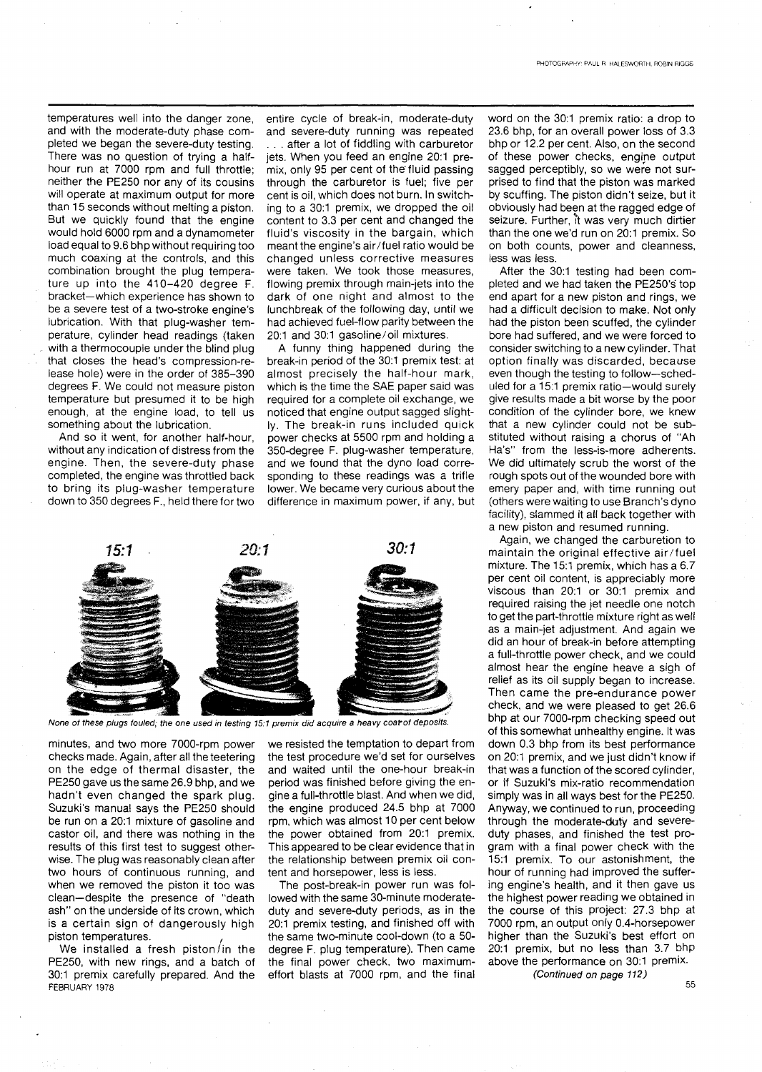temperatures well into the danger zone, and with the moderate-duty phase completed we began the severe-duty testing. There was no question of trying a halfhour run at 7000 rpm and full throttle; neither the PE250 nor any of its cousins will operate at maximum output for more than 15 seconds without melting a piston. But we quickly found that the engine would hold 6000 rpm and a dynamometer load equal to 9.6 bhp without requiring too much coaxing at the controls, and this combination brought the plug temperature up into the 410-420 degree F. bracket-which experience has shown to be a severe test of a two-stroke engine's lubrication. With that plug-washer temperature, cylinder head readings (taken with a thermocouple under the blind plug that closes the head's compression-release hole) were in the order of 385-390 degrees F. We could not measure piston temperature but presumed it to be high enough, at the engine load, to tell us something about the lubrication.

And so it went, for another half-hour, without any indication of distress from the engine. Then, the severe-duty phase completed, the engine was throttled back to bring its plug-washer temperature down to 350 degrees F., held there for two entire cycle of break-in, moderate-duty and severe-duty running was repeated

. after a lot of fiddling with carburetor jets. When you feed an engine 20:1 premix, only 95 per cent of the fluid passing through the carburetor is fuel; five per cent is oil, which does not burn. In switching to a 30:1 premix, we dropped the oil content to 3.3 per cent and changed the fluid's viscosity in the bargain, which meant the engine's air/fuel ratio would be changed unless corrective measures were taken. We took those measures, flowing premix through main-jets into the dark of one night and almost to the lunchbreak of the following day, until we had achieved fuel-flow parity between the 20.1 and 30:1 gasoline/oil mixtures.

A funny thing happened during the break-in period of the 30:1 premix test: at almost precisely the half-hour mark, which is the time the SAE paper said was required for a complete oil exchange, we noticed that engine output sagged slightly. The break-in runs included quick power checks at 5500 rpm and holding a 350-degree F. plug-washer temperature, and we found that the dyno load corresponding to these readings was a trifle lower. We became very curious about the difference in maximum power, if any, but



None of these plugs fouled; the one used in testing 15:1 premix did acquire a heavy coar of deposits.

minutes, and two more 7000-rpm power checks made. Again, after all the teetering on the edge of thermal disaster, the PE250 gave us the same 26.9 bhp, and we hadn't even changed the spark plug. Suzuki's manual says the PE250 should be run on a 20:1 mixture of gasoline and castor oil, and there was nothing in the results of this first test to suggest otherwise. The plug was reasonably clean after two hours of continuous running, and when we removed the piston it too was clean-despite the presence of "death ash" on the underside of its crown, which is a certain sign of dangerously high piston temperatures.

We installed a fresh piston/in the PE250, with new rings, and a batch of 30:l premix carefully prepared. And the FEBRUARY 1978

we resisted the temptation to depart from the test procedure we'd set for ourselves and waited until the one-hour break-in period was finished before giving the engine a full-throttle blast. And when we did, the engine produced 24.5 bhp at 7000 rpm, which was almost 10 per cent below the power obtained from 20:1 premix. This appeared to be clear evidence that in the relationship between premix oil content and horsepower, less is less.

The post-break-in power run was followed with the same 30-minute moderateduty and severe-duty periods, as in the 20:l premix testing, and finished off with the same two-minute cool-down (to a 50 degree F. plug temperature). Then came the final power check, two maximumeffort blasts at 7000 rpm, and the final

word on the 30:1 premix ratio: a drop to 23.6 bhp, for an overall power loss of 3.3 bhp or 12.2 per cent. Also, on the second of these power checks, engine output sagged perceptibly, so we were not surprised to find that the piston was marked by scuffing. The piston didn't seize, but it obviously had been at the ragged edge of seizure. Further, it was very much dirtier than the one we'd run on 20:1 premix. So on both counts, power and cleanness, less was less.

After the 30:1 testing had been completed and we had taken the PE250's top end apart for a new piston and rings, we had a difficult decision to make. Not only had the piston been scuffed, the cylinder bore had suffered, and we were forced to consider switching to a new cylinder. That option finally was discarded, because even though the testing to follow-scheduled for a 15:1 premix ratio-would surely give results made a bit worse by the poor condition of the cylinder bore, we knew that a new cylinder could not be substituted without raising a chorus of "Ah Ha's" from the less-is-more adherents. We did ultimately scrub the worst of the rough spots out of the wounded bore with emery paper and, with time running out (others were waiting to use Branch's dyno facility), slammed it all back together with a new piston and resumed running.

Again, we changed the carburetion to maintain the original effective air/fuel mixture. The 15:1 premix, which has a 6.7 per cent oil content, is appreciably more viscous than 20:1 or 30:1 premix and required raising the jet needle one notch to get the part-throttle mixture right as well as a main-jet adjustment. And again we did an hour of break-in before attempting a full-throttle power check, and we could almost hear the engine heave a sigh of relief as its oil supply began to increase. Then came the pre-endurance power check, and we were pleased to get 26.6 bhp at our 7000-rpm checking speed out of this somewhat unhealthy engine. It was down 0.3 bhp from its best performance on 20:l premix, and we just didn't know if that was a function of the scored cylinder, or if Suzuki's mix-ratio recommendation simply was in all ways best for the PE250. Anyway, we continued to run, proceeding through the moderate-duty and severeduty phases, and finished the test program with a final power check with the 15:l premix. To our astonishment, the hour of running had improved the suffering engine's health, and it then gave us the highest power reading we obtained in the course of this project: 27.3 bhp at 7000 rpm, an output only 0.4-horsepower higher than the Suzuki's best effort on 20:1 premix, but no less than 3.7 bhp above the performance on 30:1 premix.

*(Continued on* **page 712)** 

55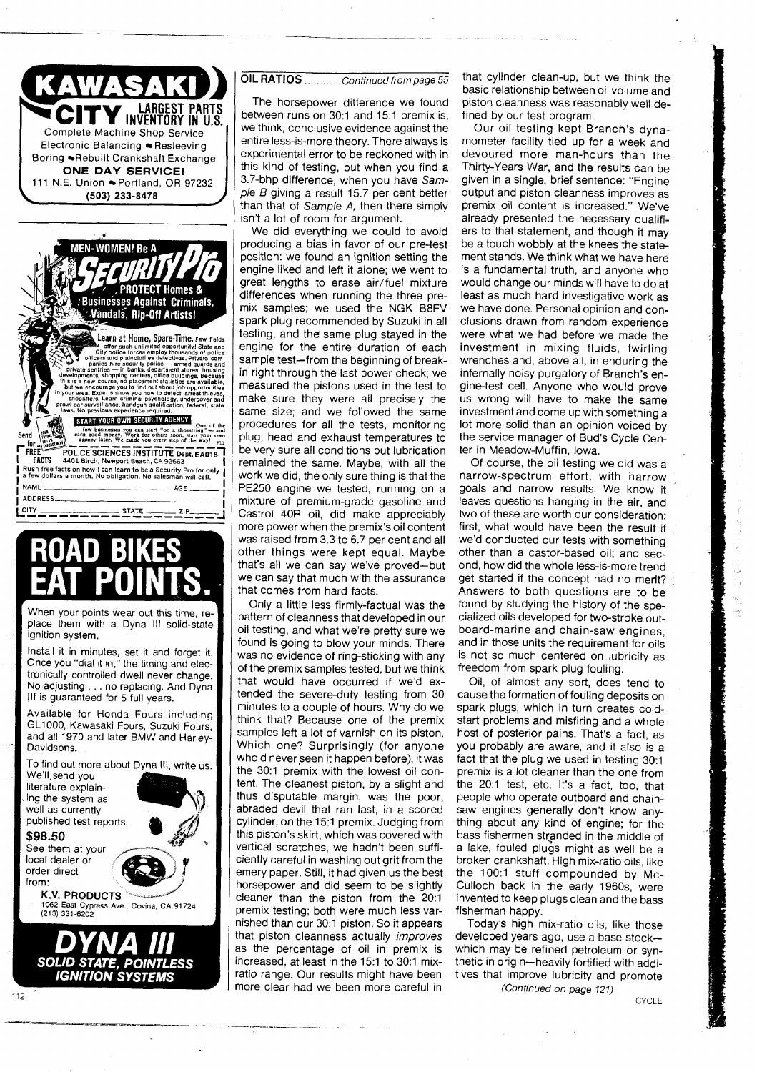



When your points wear out this time, replace them with a Dyna Ill solid-state ignition system.

Install it in minutes, set it and forget it )nce you "dial it in," the timing and elec-  $\dagger$ tronically controlled dwell never change. No adjusting . . . no replacing. And Dyna Ill is guaranteed for 5 full years.

Available for Honda Fours including GL1000, Kawasaki Fours, Suzuki Fours, and all 1970 and later BMW and Harley-Davidsons.

To find out more about Dvna Ill. write us. We'll.send you

literature explaining the system as well as currentlv published test reports. **\$98.50**<br>See them at your

local dealer or order direct

from:<br>K.V. PRODUCTS **1062 East Cypress Ave., Covina. CA 91724** (213) 331-6202

**SOLID STATE, POINTLESS IGNITION SYSTEMS** 

experimental error to be reckoned with in

this kind of testing, but when you find a 3.7-bhp difference, when you have Sample B giving a result 15.7 per cent better than that of Sample A,.then there simply isn't a lot of room for argument.

OIL RATIOS ............ Continued from page 55

The horsepower difference we found between runs on 30:1 and 15:1 premix is, we think, conclusive evidence against the entire less-is-more theory. There always is

We did everything we could to avoid producing a bias in favor of our pre-test position: we found an ignition setting the engine liked and left it alone; we went to great lengths to erase air/fuel mixture differences when running the three premix samples; we used the NGK BBEV spark plug recommended by Suzuki in all testing, and the same plug stayed in the engine for the entire duration of each sample test-from the beginning of breakn right through the last power check; we neasured the pistons used in the test to nake sure they were all precisely the same size; and we followed the same procedures for all the tests, monitoring plug, head and exhaust temperatures to be very sure all conditions but lubrication 'emained the same. Maybe, with all the work we did, the only sure thing is that the PE250 engine we tested, running on a mixture of premium-grade gasoline and Castrol 40R oil, did make appreciably nore power when the premix's oil content was raised from 3.3 to 6.7 per cent and all other things were kept equal. Maybe hat's all we can say we've proved-but we can say that much with the assurance hat comes from hard facts.

Only a little less firmly-factual was the pattern of cleanness that developed in our oil testing, and what we're pretty sure we found is going to blow your minds. There vas no evidence of ring-sticking with any of the premix samples tested, but we think hat would have occurred if we'd extended the severe-duty testing from 30 ninutes to a couple of hours. Why do we hink that? Because one of the premix samples left a lot of varnish on its piston. Yhich one? Surprisingly (for anyone who'd never seen it happen before), it was the 30:1 premix with the lowest oil conent. The cleanest piston, by a slight and hus disputable margin, was the poor, abraded devil that ran last, in a scored cylinder, on the 15:1 premix. Judging from his piston's skirt, which was covered with vertical scratches, we hadn't been sufficiently careful in washing out grit from the emery paper. Still, it had given us the best horsepower and did seem to be slightly cleaner than the piston from the 20:1 premix testing; both were much less varnished than our 30:1 piston. So it appears that piston cleanness actually *improves* as the percentage of oil in premix is increased, at least in the 15:1 to 30:1 mixatio range. Our results might have been more clear had we been more careful in

that cylinder clean-up, but we think the basic relationship between oil volume and piston cleanness was reasonably well defined by our test program.

Our oil testing kept Branch's dynamometer facility tied up for a week and devoured more man-hours than the Thirty-Years War, and the results can be given in a single, brief sentence: "Engine output and piston cleanness improves as premix oil content is increased." We've already presented the necessary qualifiers to that statement, and though it may be a touch wobbly at the knees the statement stands. We think what we have here is a fundamental truth, and anyone who would change our minds will have to do at least as much hard investigative work as we have done. Personal opinion and conclusions drawn from random experience were what we had before we made the investment in mixing fluids, twirling wrenches and, above all, in enduring the infernally noisy purgatory of Branch's engine-test cell. Anyone who would prove us wrong will have to make the same investment and come up with something a lot more solid than an opinion voiced by the service manager of Bud's Cycle Center in Meadow-Muffin, Iowa.

Of course, the oil testing we did was a narrow-spectrum effort, with narrow goals and narrow results. We know it leaves questions hanging in the air, and two of these are worth our consideration: first, what would have been the result if we'd conducted our tests with something other than a castor-based oil; and second, how did the whole less-is-more trend get started if the concept had no merit? Answers to both questions are to be found by studying the history of the specialized oils developed for two-stroke outboard-marine and chain-saw engines, and in those units the requirement for oils is not so much centered on lubricity as freedom from spark plug fouling.

Oil, of almost any sort, does tend to cause the formation of fouling deposits on spark plugs, which in turn creates coldstart problems and misfiring and a whole host of posterior pains. That's a fact, as you probably are aware, and it also is a fact that the plug we used in testing 30:1 premix is a lot cleaner than the one from the 20:l test, etc. It's a fact, too, that people who operate outboard and chainsaw engines generally don't know anything about any kind of engine; for the bass fishermen stranded in the middle of a lake, fouled plugs might as well be a broken crankshaft. High mix-ratio oils, like the 100:1 stuff compounded by Mc-Culloch back in the early 1960s, were invented to keep plugs clean and the bass fisherman happy.

Today's high mix-ratio oils, like those developed years ago, use a base stockwhich may be refined petroleum or synthetic in origin-heavily fortified with additives that improve lubricity and promote

(Continued on page 121)

**CYCLE**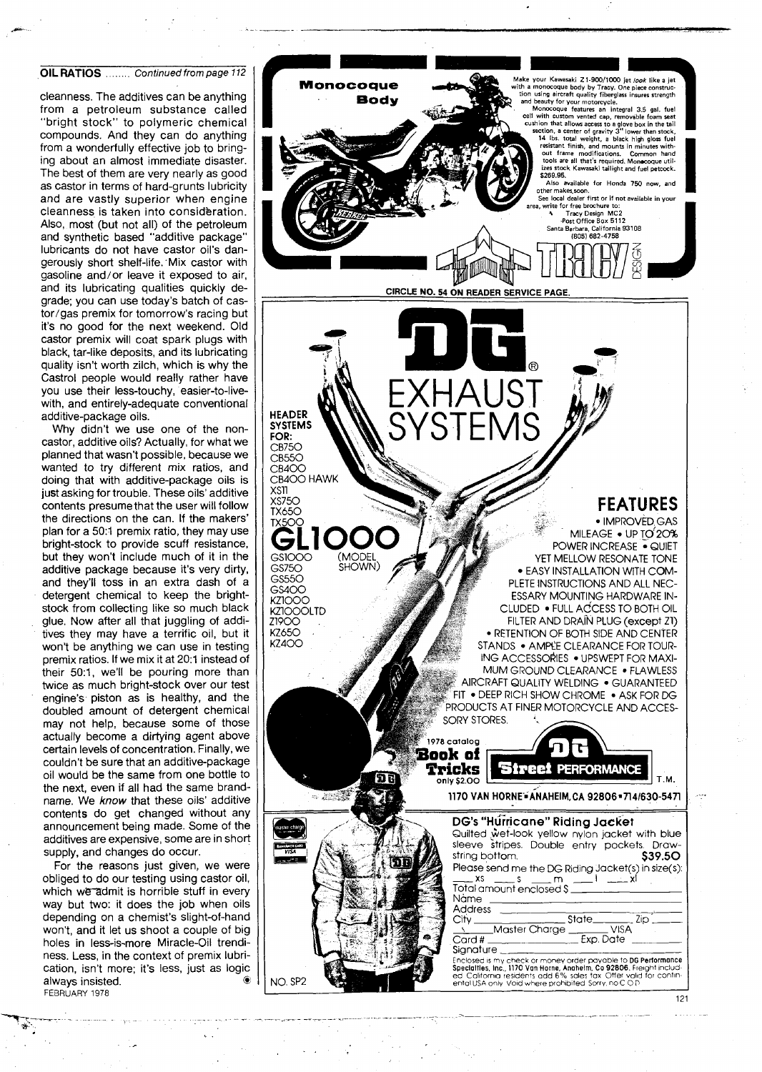### **OIL RATIOS** ........ Continued from page 112

cleanness. The additives can be anything from a petroleum substance called "bright stock" to polymeric chemical compounds. And they can do anything from a wonderfully effective job to bringing about an almost immediate disaster. The best of them are very nearly as good as castor in terms of hard-grunts lubricity and are vastly superior when engine cleanness is taken into consideration. Also, most (but not all) of the petroleum and synthetic based "additive package" lubricants do not have castor oil's dangerously short shelf-life.'Mix castor with gasoline and/or leave it exposed to air, and its lubricating qualities quickly degrade; you can use today's batch of castor/gas premix for tomorrow's racing but it's no good for the next weekend. Old castor premix will coat spark plugs with black, tar-like deposits, and its lubricating quality isn't worth zilch, which is why the Castrol people would really rather have you use their less-touchy, easier-to-livewith, and entirely-adequate conventional additive-package oils.

Why didn't we use one of the noncastor, additive oils? Actually, for what we planned that wasn't possible, because we wanted to try different mix ratios, and doing that with additive-package oils is just asking for trouble. These oils' additive contents presumethat the user will follow the directions on the can. If the makers' plan for a 50:1 premix ratio, they may use bright-stock to provide scuff resistance, but they won't include much of it in the additive package because it's very dirty, and they'll toss in an extra dash of a detergent chemical to keep the brightstock from collecting like so much black glue. Now after all that juggling of additives they may have a terrific oil, but it won't be anything we can use in testing premix ratios. If we mix it at 20:1 instead of their 50:1, we'll be pouring more than twice as much bright-stock over our test engine's piston as is healthy, and the doubled amount of detergent chemical may not help, because some of those actually become a dirtying agent above certain levels of concentration. Finally, we couldn't be sure that an additive-package oil would be the same from one bottle to the next, even if all had the same brandname. We **know** that these oils' additive contents do get changed without any announcement being made. Some of the additives are expensive, some are in short supply, and changes do occur.

For the reasons just given, we were obliged to do our testing using castor oil, which we admit is horrible stuff in every way but two: it does the job when oils depending on a chemist's slight-of-hand won't, and it let us shoot a couple of big holes in less-is-more Miracle-Oil trendiness. Less, in the context of premix lubrication, isn't more; it's less, just as logic always insisted. FEBRUARY 1978



121